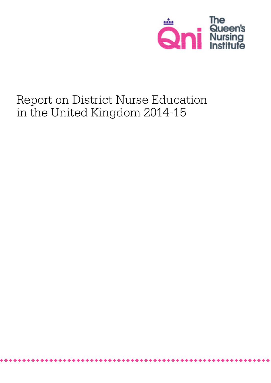

# Report on District Nurse Education in the United Kingdom 2014-15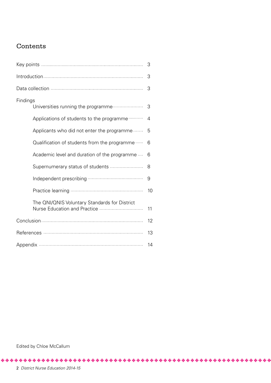# Contents

|                                                                               | 3              |
|-------------------------------------------------------------------------------|----------------|
|                                                                               | 3              |
|                                                                               | 3              |
| Findings<br>Universities running the programme                                | 3              |
| Applications of students to the programme                                     | $\overline{4}$ |
| Applicants who did not enter the programme                                    | 5              |
| Qualification of students from the programme                                  | 6              |
| Academic level and duration of the programme                                  | 6              |
| Supernumerary status of students                                              | 8              |
|                                                                               | 9              |
|                                                                               | 10             |
| The QNI/QNIS Voluntary Standards for District<br>Nurse Education and Practice | 11             |
|                                                                               | 12             |
|                                                                               | 13             |
|                                                                               | 14             |

## Edited by Chloe McCallum

2 *District Nurse Education 2014-15*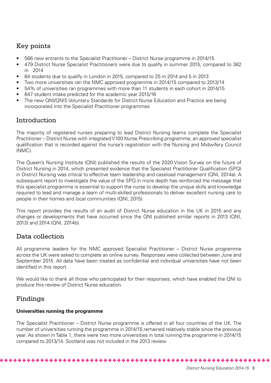# Key points

- 566 new entrants to the Specialist Practitioner District Nurse programme in 2014/15
- 479 District Nurse Specialist Practitioners were due to qualify in summer 2015, compared to 382 in 2014
- 64 students due to qualify in London in 2015, compared to 25 in 2014 and 5 in 2013
- Two more universities ran the NMC approved programme in 2014/15 compared to 2013/14
- 54% of universities ran programmes with more than 11 students in each cohort in 2014/15
- 647 student intake predicted for the academic year 2015/16
- The new QNI/QNIS Voluntary Standards for District Nurse Education and Practice are being incorporated into the Specialist Practitioner programmes

## Introduction

The majority of registered nurses preparing to lead District Nursing teams complete the Specialist Practitioner – District Nurse with integrated V100 Nurse Prescribing programme, an approved specialist qualification that is recorded against the nurse's registration with the Nursing and Midwifery Council (NMC).

The Queen's Nursing Institute (QNI) published the results of the 2020 Vision Survey on the future of District Nursing in 2014, which presented evidence that the Specialist Practitioner Qualification (SPQ) in District Nursing was critical to effective team leadership and caseload management (QNI, 2014a). A subsequent report to investigate the value of the SPQ in more depth has reinforced the message that this specialist programme is essential to support the nurse to develop the unique skills and knowledge required to lead and manage a team of multi-skilled professionals to deliver excellent nursing care to people in their homes and local communities (QNI, 2015).

This report provides the results of an audit of District Nurse education in the UK in 2015 and any changes or developments that have occurred since the QNI published similar reports in 2013 (QNI, 2013) and 2014 (QNI, 2014b).

## Data collection

All programme leaders for the NMC approved Specialist Practitioner – District Nurse programme across the UK were asked to complete an online survey. Responses were collected between June and September 2015. All data have been treated as confidential and individual universities have not been identified in this report.

We would like to thank all those who participated for their responses, which have enabled the QNI to produce this review of District Nurse education.

## Findings

## **Universities running the programme**

\*\*\*\*\*\*\*\*\*\*\*\*\*\*\*\*\*\*

The Specialist Practitioner – District Nurse programme is offered in all four countries of the UK. The number of universities running the programme in 2014/15 remained relatively stable since the previous year. As shown in Table 1, there were two more universities in total running the programme in 2014/15 compared to 2013/14. Scotland was not included in the 2013 review.

\*\*\*\*\*\*\*\*\*\*\*\*\*\*\*\*\*\*\*\*\*\*\*\*\*\*\*\*\*\*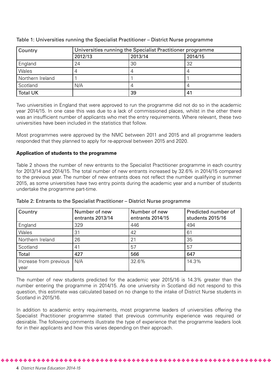| Country          | Universities running the Specialist Practitioner programme |         |         |
|------------------|------------------------------------------------------------|---------|---------|
|                  | 2012/13                                                    | 2013/14 | 2014/15 |
| England          | 24                                                         | 30      | 32      |
| Wales            |                                                            | 4       |         |
| Northern Ireland |                                                            |         |         |
| Scotland         | N/A                                                        | 4       |         |
| <b>Total UK</b>  |                                                            | 39      | 41      |

Table 1: Universities running the Specialist Practitioner – District Nurse programme

Two universities in England that were approved to run the programme did not do so in the academic year 2014/15. In one case this was due to a lack of commissioned places, whilst in the other there was an insufficient number of applicants who met the entry requirements. Where relevant, these two universities have been included in the statistics that follow.

Most programmes were approved by the NMC between 2011 and 2015 and all programme leaders responded that they planned to apply for re-approval between 2015 and 2020.

### **Application of students to the programme**

Table 2 shows the number of new entrants to the Specialist Practitioner programme in each country for 2013/14 and 2014/15. The total number of new entrants increased by 32.6% in 2014/15 compared to the previous year. The number of new entrants does not reflect the number qualifying in summer 2015, as some universities have two entry points during the academic year and a number of students undertake the programme part-time.

| Country                        | Number of new<br>entrants 2013/14 | Number of new<br>entrants 2014/15 | Predicted number of<br>students 2015/16 |
|--------------------------------|-----------------------------------|-----------------------------------|-----------------------------------------|
| England                        | 329                               | 446                               | 494                                     |
| Wales                          | 31                                | 42                                | 61                                      |
| Northern Ireland               | 26                                | 2 <sup>1</sup>                    | 35                                      |
| Scotland                       | 41                                | 57                                | 57                                      |
| Total                          | 427                               | 566                               | 647                                     |
| Increase from previous<br>year | N/A                               | 32.6%                             | 14.3%                                   |

Table 2: Entrants to the Specialist Practitioner – District Nurse programme

The number of new students predicted for the academic year 2015/16 is 14.3% greater than the number entering the programme in 2014/15. As one university in Scotland did not respond to this question, this estimate was calculated based on no change to the intake of District Nurse students in Scotland in 2015/16.

In addition to academic entry requirements, most programme leaders of universities offering the Specialist Practitioner programme stated that previous community experience was required or desirable. The following comments illustrate the type of experience that the programme leaders look for in their applicants and how this varies depending on their approach.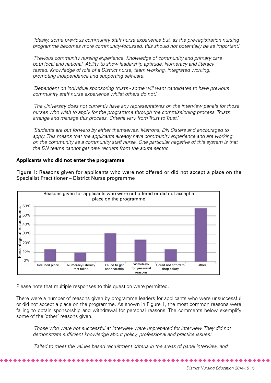*'Ideally, some previous community staff nurse experience but, as the pre-registration nursing programme becomes more community-focussed, this should not potentially be as important.'*

*'Previous community nursing experience. Knowledge of community and primary care both local and national. Ability to show leadership aptitude. Numeracy and literacy tested. Knowledge of role of a District nurse, team working, integrated working, promoting independence and supporting self-care.'*

*'Dependent on individual sponsoring trusts - some will want candidates to have previous community staff nurse experience whilst others do not.'*

*'The University does not currently have any representatives on the interview panels for those nurses who wish to apply for the programme through the commissioning process. Trusts arrange and manage this process. Criteria vary from Trust to Trust.'*

*'Students are put forward by either themselves, Matrons, DN Sisters and encouraged to*  apply. This means that the applicants already have community experience and are working *on the community as a community staff nurse. One particular negative of this system is that the DN teams cannot get new recruits from the acute sector.'*

#### **Applicants who did not enter the programme**

Figure 1: Reasons given for applicants who were not offered or did not accept a place on the Specialist Practitioner – District Nurse programme



Please note that multiple responses to this question were permitted.

There were a number of reasons given by programme leaders for applicants who were unsuccessful or did not accept a place on the programme. As shown in Figure 1, the most common reasons were failing to obtain sponsorship and withdrawal for personal reasons. The comments below exemplify some of the 'other' reasons given.

*'Those who were not successful at interview were unprepared for interview. They did not demonstrate sufficient knowledge about policy, professional and practice issues.'*

*'Failed to meet the values based recruitment criteria in the areas of panel interview, and*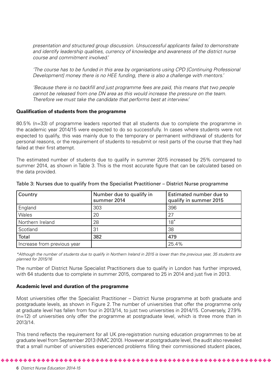*presentation and structured group discussion. Unsuccessful applicants failed to demonstrate and identify leadership qualities, currency of knowledge and awareness of the district nurse course and commitment involved.'*

*'The course has to be funded in this area by organisations using CPD [Continuing Professional Development] money there is no HEE funding, there is also a challenge with mentors.'*

*'Because there is no backfill and just programme fees are paid, this means that two people cannot be released from one DN area as this would increase the pressure on the team. Therefore we must take the candidate that performs best at interview.'*

#### **Qualification of students from the programme**

80.5% (n=33) of programme leaders reported that all students due to complete the programme in the academic year 2014/15 were expected to do so successfully. In cases where students were not expected to qualify, this was mainly due to the temporary or permanent withdrawal of students for personal reasons, or the requirement of students to resubmit or resit parts of the course that they had failed at their first attempt.

The estimated number of students due to qualify in summer 2015 increased by 25% compared to summer 2014, as shown in Table 3. This is the most accurate figure that can be calculated based on the data provided.

| Country                     | Number due to qualify in<br>summer 2014 | Estimated number due to<br>qualify in summer 2015 |
|-----------------------------|-----------------------------------------|---------------------------------------------------|
| England                     | 303                                     | 396                                               |
| Wales                       | 20                                      | 27                                                |
| Northern Ireland            | 28                                      | $18*$                                             |
| Scotland                    | 31                                      | 38                                                |
| Total                       | 382                                     | 479                                               |
| Increase from previous year |                                         | 25.4%                                             |

#### Table 3: Nurses due to qualify from the Specialist Practitioner – District Nurse programme

*\*Although the number of students due to qualify in Northern Ireland in 2015 is lower than the previous year, 35 students are planned for 2015/16*

The number of District Nurse Specialist Practitioners due to qualify in London has further improved, with 64 students due to complete in summer 2015, compared to 25 in 2014 and just five in 2013.

#### **Academic level and duration of the programme**

\*\*\*\*\*\*\*\*\*\*\*\*\*\*\*\*\*\*

Most universities offer the Specialist Practitioner – District Nurse programme at both graduate and postgraduate levels, as shown in Figure 2. The number of universities that offer the programme only at graduate level has fallen from four in 2013/14, to just two universities in 2014/15. Conversely, 27.9% (n=12) of universities only offer the programme at postgraduate level, which is three more than in 2013/14.

This trend reflects the requirement for all UK pre-registration nursing education programmes to be at graduate level from September 2013 (NMC 2010). However at postgraduate level, the audit also revealed that a small number of universities experienced problems filling their commissioned student places,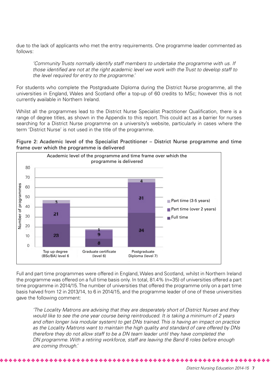due to the lack of applicants who met the entry requirements. One programme leader commented as follows:

*'Community Trusts normally identify staff members to undertake the programme with us. If those identified are not at the right academic level we work with the Trust to develop staff to the level required for entry to the programme.'*

For students who complete the Postgraduate Diploma during the District Nurse programme, all the universities in England, Wales and Scotland offer a top-up of 60 credits to MSc; however this is not currently available in Northern Ireland.

Whilst all the programmes lead to the District Nurse Specialist Practitioner Qualification, there is a range of degree titles, as shown in the Appendix to this report. This could act as a barrier for nurses searching for a District Nurse programme on a university's website, particularly in cases where the term 'District Nurse' is not used in the title of the programme.





Full and part time programmes were offered in England, Wales and Scotland, whilst in Northern Ireland the programme was offered on a full time basis only. In total, 81.4% (n=35) of universities offered a part time programme in 2014/15. The number of universities that offered the programme only on a part time basis halved from 12 in 2013/14, to 6 in 2014/15, and the programme leader of one of these universities gave the following comment:

*'The Locality Matrons are advising that they are desperately short of District Nurses and they would like to see the one year course being reintroduced. It is taking a minimum of 2 years and often longer (via modular system) to get DNs trained. This is having an impact on practice as the Locality Matrons want to maintain the high quality and standard of care offered by DNs therefore they do not allow staff to be a DN team leader until they have completed the DN programme. With a retiring workforce, staff are leaving the Band 6 roles before enough are coming through.'*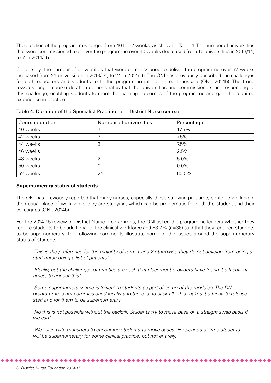The duration of the programmes ranged from 40 to 52 weeks, as shown in Table 4. The number of universities that were commissioned to deliver the programme over 40 weeks decreased from 10 universities in 2013/14, to 7 in 2014/15.

Conversely, the number of universities that were commissioned to deliver the programme over 52 weeks increased from 21 universities in 2013/14, to 24 in 2014/15. The QNI has previously described the challenges for both educators and students to fit the programme into a limited timescale (QNI, 2014b). The trend towards longer course duration demonstrates that the universities and commissioners are responding to this challenge, enabling students to meet the learning outcomes of the programme and gain the required experience in practice.

| Course duration | Number of universities | Percentage |
|-----------------|------------------------|------------|
| 40 weeks        |                        | 17.5%      |
| 42 weeks        |                        | 7.5%       |
| 44 weeks        |                        | 7.5%       |
| 46 weeks        |                        | 2.5%       |
| 48 weeks        |                        | 5.0%       |
| 50 weeks        |                        | $0.0\%$    |
| 52 weeks        | 24                     | 60.0%      |

Table 4: Duration of the Specialist Practitioner – District Nurse course

#### **Supernumerary status of students**

The QNI has previously reported that many nurses, especially those studying part time, continue working in their usual place of work while they are studying, which can be problematic for both the student and their colleagues (QNI, 2014b).

For the 2014-15 review of District Nurse programmes, the QNI asked the programme leaders whether they require students to be additional to the clinical workforce and 83.7% (n=36) said that they required students to be supernumerary. The following comments illustrate some of the issues around the supernumerary status of students:

*'This is the preference for the majority of term 1 and 2 otherwise they do not develop from being a staff nurse doing a list of patients.'*

*'Ideally, but the challenges of practice are such that placement providers have found it difficult, at times, to honour this.'*

*'Some supernumerary time is 'given' to students as part of some of the modules. The DN programme is not commissioned locally and there is no back fill - this makes it difficult to release staff and for them to be supernumerary'*

*'No this is not possible without the backfill. Students try to move base on a straight swap basis if we can.'*

*'We liaise with managers to encourage students to move bases. For periods of time students will be supernumerary for some clinical practice, but not entirely. '*

\*\*\*\*\*\*\*\*\*\*\*\*\*\*\*\*\*\*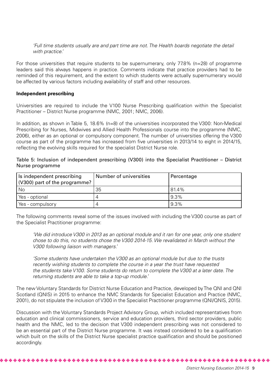*'Full time students usually are and part time are not. The Health boards negotiate the detail with practice.'*

For those universities that require students to be supernumerary, only 77.8% (n=28) of programme leaders said this always happens in practice. Comments indicate that practice providers had to be reminded of this requirement, and the extent to which students were actually supernumerary would be affected by various factors including availability of staff and other resources.

#### **Independent prescribing**

Universities are required to include the V100 Nurse Prescribing qualification within the Specialist Practitioner – District Nurse programme (NMC, 2001; NMC, 2006).

In addition, as shown in Table 5, 18.6% (n=8) of the universities incorporated the V300: Non-Medical Prescribing for Nurses, Midwives and Allied Health Professionals course into the programme (NMC, 2006), either as an optional or compulsory component. The number of universities offering the V300 course as part of the programme has increased from five universities in 2013/14 to eight in 2014/15, reflecting the evolving skills required for the specialist District Nurse role.

Table 5: Inclusion of independent prescribing (V300) into the Specialist Practitioner – District Nurse programme

| Is independent prescribing<br>(V300) part of the programme? | Number of universities | Percentage |
|-------------------------------------------------------------|------------------------|------------|
| No                                                          | 35                     | 81.4%      |
| Yes - optional                                              |                        | 9.3%       |
| Yes - compulsory                                            |                        | 9.3%       |

The following comments reveal some of the issues involved with including the V300 course as part of the Specialist Practitioner programme:

*'We did introduce V300 in 2013 as an optional module and it ran for one year, only one student chose to do this, no students chose the V300 2014-15. We revalidated in March without the V300 following liaison with managers.'*

*'Some students have undertaken the V300 as an optional module but due to the trusts recently wishing students to complete the course in a year the trust have requested the students take V100. Some students do return to complete the V300 at a later date. The returning students are able to take a top-up module.'*

The new Voluntary Standards for District Nurse Education and Practice, developed by The QNI and QNI Scotland (QNIS) in 2015 to enhance the NMC Standards for Specialist Education and Practice (NMC, 2001), do not stipulate the inclusion of V300 in the Specialist Practitioner programme (QNI/QNIS, 2015).

Discussion with the Voluntary Standards Project Advisory Group, which included representatives from education and clinical commissioners, service and education providers, third sector providers, public health and the NMC, led to the decision that V300 independent prescribing was not considered to be an essential part of the District Nurse programme. It was instead considered to be a qualification which built on the skills of the District Nurse specialist practice qualification and should be positioned accordingly.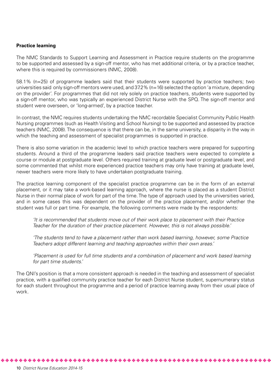#### **Practice learning**

The NMC Standards to Support Learning and Assessment in Practice require students on the programme to be supported and assessed by a sign-off mentor, who has met additional criteria, or by a practice teacher, where this is required by commissioners (NMC, 2008).

58.1% (n=25) of programme leaders said that their students were supported by practice teachers; two universities said only sign-off mentors were used, and 37.2% (n=16) selected the option 'a mixture, depending on the provider'. For programmes that did not rely solely on practice teachers, students were supported by a sign-off mentor, who was typically an experienced District Nurse with the SPQ. The sign-off mentor and student were overseen, or 'long-armed', by a practice teacher.

In contrast, the NMC requires students undertaking the NMC recordable Specialist Community Public Health Nursing programmes (such as Health Visiting and School Nursing) to be supported and assessed by practice teachers (NMC, 2008). The consequence is that there can be, in the same university, a disparity in the way in which the teaching and assessment of specialist programmes is supported in practice.

There is also some variation in the academic level to which practice teachers were prepared for supporting students. Around a third of the programme leaders said practice teachers were expected to complete a course or module at postgraduate level. Others required training at graduate level or postgraduate level, and some commented that whilst more experienced practice teachers may only have training at graduate level, newer teachers were more likely to have undertaken postgraduate training.

The practice learning component of the specialist practice programme can be in the form of an external placement, or it may take a work-based learning approach, where the nurse is placed as a student District Nurse in their normal place of work for part of the time. The type of approach used by the universities varied, and in some cases this was dependent on the provider of the practice placement, and/or whether the student was full or part time. For example, the following comments were made by the respondents:

*'It is recommended that students move out of their work place to placement with their Practice Teacher for the duration of their practice placement. However, this is not always possible.'*

*'The students tend to have a placement rather than work based learning, however, some Practice Teachers adopt different learning and teaching approaches within their own areas.'*

*'Placement is used for full time students and a combination of placement and work based learning for part time students.'*

The QNI's position is that a more consistent approach is needed in the teaching and assessment of specialist practice, with a qualified community practice teacher for each District Nurse student, supernumerary status for each student throughout the programme and a period of practice learning away from their usual place of work.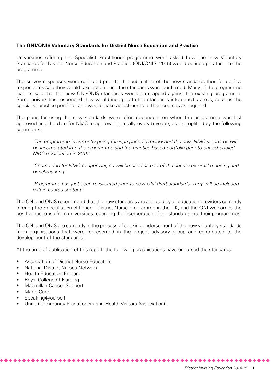#### **The QNI/QNIS Voluntary Standards for District Nurse Education and Practice**

Universities offering the Specialist Practitioner programme were asked how the new Voluntary Standards for District Nurse Education and Practice (QNI/QNIS, 2015) would be incorporated into the programme.

The survey responses were collected prior to the publication of the new standards therefore a few respondents said they would take action once the standards were confirmed. Many of the programme leaders said that the new QNI/QNIS standards would be mapped against the existing programme. Some universities responded they would incorporate the standards into specific areas, such as the specialist practice portfolio, and would make adjustments to their courses as required.

The plans for using the new standards were often dependent on when the programme was last approved and the date for NMC re-approval (normally every 5 years), as exemplified by the following comments:

*'The programme is currently going through periodic review and the new NMC standards will be incorporated into the programme and the practice based portfolio prior to our scheduled NMC revalidation in 2016.'*

*'Course due for NMC re-approval, so will be used as part of the course external mapping and benchmarking.'*

*'Programme has just been revalidated prior to new QNI draft standards. They will be included within course content.'*

The QNI and QNIS recommend that the new standards are adopted by all education providers currently offering the Specialist Practitioner – District Nurse programme in the UK, and the QNI welcomes the positive response from universities regarding the incorporation of the standards into their programmes.

The QNI and QNIS are currently in the process of seeking endorsement of the new voluntary standards from organisations that were represented in the project advisory group and contributed to the development of the standards.

At the time of publication of this report, the following organisations have endorsed the standards:

- Association of District Nurse Educators
- National District Nurses Network
- Health Education England
- Royal College of Nursing
- Macmillan Cancer Support
- **Marie Curie**
- Speaking4yourself
- Unite (Community Practitioners and Health Visitors Association).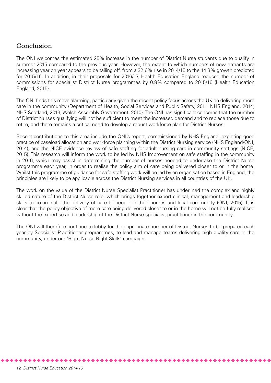## Conclusion

The QNI welcomes the estimated 25% increase in the number of District Nurse students due to qualify in summer 2015 compared to the previous year. However, the extent to which numbers of new entrants are increasing year on year appears to be tailing off, from a 32.6% rise in 2014/15 to the 14.3% growth predicted for 2015/16. In addition, in their proposals for 2016/17, Health Education England reduced the number of commissions for specialist District Nurse programmes by 0.8% compared to 2015/16 (Health Education England, 2015).

The QNI finds this move alarming, particularly given the recent policy focus across the UK on delivering more care in the community (Department of Health, Social Services and Public Safety, 2011; NHS England, 2014; NHS Scotland, 2013; Welsh Assembly Government, 2010). The QNI has significant concerns that the number of District Nurses qualifying will not be sufficient to meet the increased demand and to replace those due to retire, and there remains a critical need to develop a robust workforce plan for District Nurses.

Recent contributions to this area include the QNI's report, commissioned by NHS England, exploring good practice of caseload allocation and workforce planning within the District Nursing service (NHS England/QNI, 2014), and the NICE evidence review of safe staffing for adult nursing care in community settings (NICE, 2015). This research will inform the work to be led by NHS Improvement on safe staffing in the community in 2016, which may assist in determining the number of nurses needed to undertake the District Nurse programme each year, in order to realise the policy aim of care being delivered closer to or in the home. Whilst this programme of guidance for safe staffing work will be led by an organisation based in England, the principles are likely to be applicable across the District Nursing services in all countries of the UK.

The work on the value of the District Nurse Specialist Practitioner has underlined the complex and highly skilled nature of the District Nurse role, which brings together expert clinical, management and leadership skills to co-ordinate the delivery of care to people in their homes and local community (QNI, 2015). It is clear that the policy objective of more care being delivered closer to or in the home will not be fully realised without the expertise and leadership of the District Nurse specialist practitioner in the community.

The QNI will therefore continue to lobby for the appropriate number of District Nurses to be prepared each year by Specialist Practitioner programmes, to lead and manage teams delivering high quality care in the community, under our 'Right Nurse Right Skills' campaign.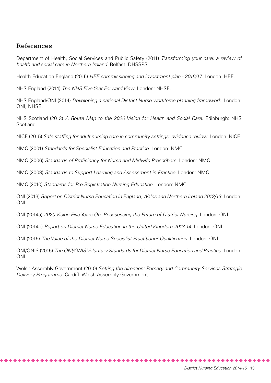## References

Department of Health, Social Services and Public Safety (2011) *Transforming your care: a review of health and social care in Northern Ireland*. Belfast: DHSSPS.

Health Education England (2015) *HEE commissioning and investment plan - 2016/17*. London: HEE.

NHS England (2014) *The NHS Five Year Forward View*. London: NHSE.

NHS England/QNI (2014) *Developing a national District Nurse workforce planning framework*. London: QNI, NHSE.

NHS Scotland (2013) *A Route Map to the 2020 Vision for Health and Social Care*. Edinburgh: NHS Scotland.

NICE (2015) *Safe staffing for adult nursing care in community settings: evidence review*. London: NICE.

NMC (2001) *Standards for Specialist Education and Practice*. London: NMC.

NMC (2006) *Standards of Proficiency for Nurse and Midwife Prescribers*. London: NMC.

NMC (2008) *Standards to Support Learning and Assessment in Practice*. London: NMC.

NMC (2010) *Standards for Pre-Registration Nursing Education*. London: NMC.

QNI (2013) *Report on District Nurse Education in England, Wales and Northern Ireland 2012/13*. London: QNI.

QNI (2014a) *2020 Vision Five Years On: Reassessing the Future of District Nursing*. London: QNI.

QNI (2014b) *Report on District Nurse Education in the United Kingdom 2013-14*. London: QNI.

QNI (2015) *The Value of the District Nurse Specialist Practitioner Qualification*. London: QNI.

QNI/QNIS (2015) *The QNI/QNIS Voluntary Standards for District Nurse Education and Practice*. London: QNI.

Welsh Assembly Government (2010) *Setting the direction: Primary and Community Services Strategic Delivery Programme*. Cardiff: Welsh Assembly Government.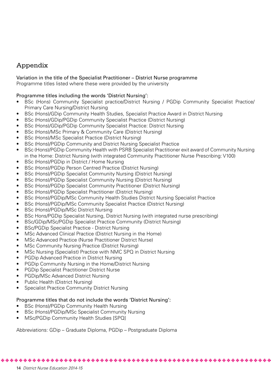# Appendix

Variation in the title of the Specialist Practitioner – District Nurse programme

Programme titles listed where these were provided by the university

## Programme titles including the words 'District Nursing':

- BSc (Hons) Community Specialist practice/District Nursing / PGDip Community Specialist Practice/ Primary Care Nursing/District Nursing
- BSc (Hons)/GDip Community Health Studies, Specialist Practice Award in District Nursing
- BSc (Hons)/GDip/PGDip Community Specialist Practice (District Nursing)
- BSc (Hons)/GDip/PGDip Community Specialist Practice: District Nursing
- BSc (Hons)/MSc Primary & Community Care (District Nursing)
- BSc (Hons)/MSc Specialist Practice (District Nursing)
- BSc (Hons)/PGDip Community and District Nursing Specialist Practice
- BSc (Hons)/PGDip Community Health with PSRB Specialist Practitioner exit award of Community Nursing in the Home: District Nursing (with integrated Community Practitioner Nurse Prescribing: V100)
- BSc (Hons)/PGDip in District / Home Nursing
- BSc (Hons)/PGDip Person Centred Practice (District Nursing)
- BSc (Hons)/PGDip Specialist Community Nursing (District Nursing)
- BSc (Hons)/PGDip Specialist Community Nursing (District Nursing)
- BSc (Hons)/PGDip Specialist Community Practitioner (District Nursing)
- BSc (Hons)/PGDip Specialist Practitioner (District Nursing)
- BSc (Hons)/PGDip/MSc Community Health Studies District Nursing Specialist Practice
- BSc (Hons)/PGDip/MSc Community Specialist Practice (District Nursing)
- BSc (Hons)/PGDip/MSc District Nursing
- BSc Hons/PGDip Specialist Nursing, District Nursing (with integrated nurse prescribing)
- BSc/GDip/MSc/PGDip Specialist Practice Community (District Nursing)
- BSc/PGDip Specialist Practice District Nursing
- MSc Advanced Clinical Practice (District Nursing in the Home)
- MSc Advanced Practice (Nurse Practitioner District Nurse)
- MSc Community Nursing Practice (District Nursing)
- MSc Nursing (Specialist) Practice with NMC SPQ in District Nursing
- PGDip Advanced Practice in District Nursing
- PGDip Community Nursing in the Home/District Nursing
- PGDip Specialist Practitioner District Nurse
- PGDip/MSc Advanced District Nursing
- Public Health (District Nursing)
- Specialist Practice Community District Nursing

#### Programme titles that do not include the words 'District Nursing':

- BSc (Hons)/PGDip Community Health Nursing
- BSc (Hons)/PGDip/MSc Specialist Community Nursing
- MSc/PGDip Community Health Studies [SPQ]

Abbreviations: GDip – Graduate Diploma, PGDip – Postgraduate Diploma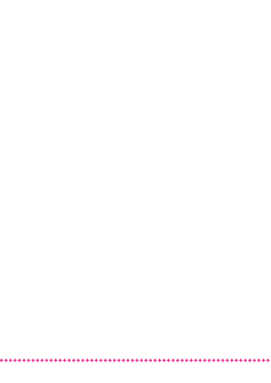\*\*\*